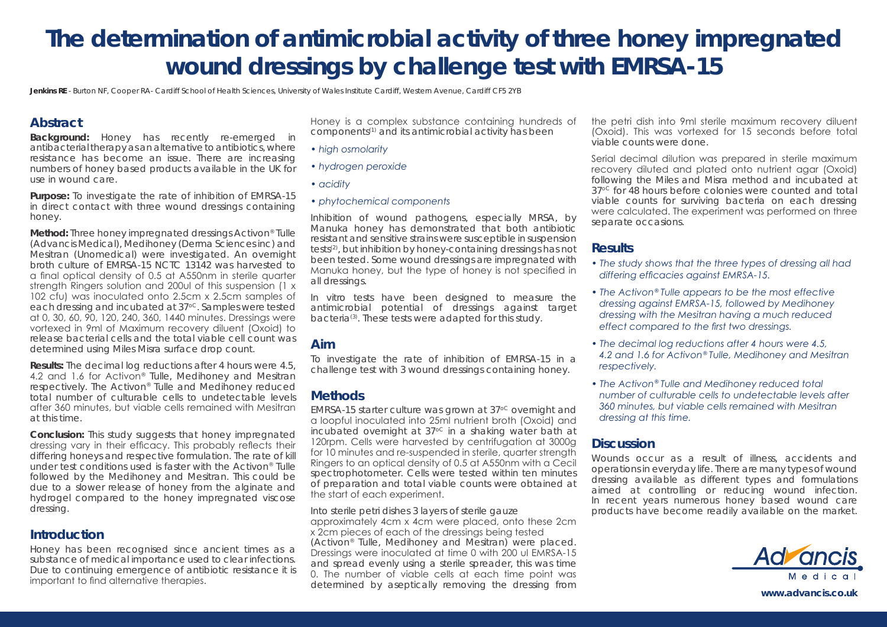# **The determination of antimicrobial activity of three honey impregnated wound dressings by challenge test with EMRSA-15**

Jenkins RE - Burton NF, Cooper RA- Cardiff School of Health Sciences, University of Wales Institute Cardiff, Western Avenue, Cardiff CF5 2YB

## **Abstract**

**Background:** Honey has recently re-emerged in antibacterial therapy as an alternative to antibiotics, where resistance has become an issue. There are increasing numbers of honey based products available in the UK for use in wound care.

**Purpose:** To investigate the rate of inhibition of EMRSA-15 in direct contact with three wound dressings containing honey.

**Method:** Three honey impregnated dressings Activon® Tulle (Advancis Medical), Medihoney (Derma Sciences inc) and Mesitran (Unomedical) were investigated. An overnight broth culture of EMRSA-15 NCTC 13142 was harvested to a final optical density of 0.5 at A550nm in sterile quarter strength Ringers solution and 200ul of this suspension (1 x 102 cfu) was inoculated onto 2.5cm x 2.5cm samples of each dressing and incubated at 37<sup>oc</sup>. Samples were tested at 0, 30, 60, 90, 120, 240, 360, 1440 minutes. Dressings were vortexed in 9ml of Maximum recovery diluent (Oxoid) to release bacterial cells and the total viable cell count was determined using Miles Misra surface drop count.

**Results:** The decimal log reductions after 4 hours were 4.5, 4.2 and 1.6 for Activon<sup>®</sup> Tulle, Medihoney and Mesitran respectively. The Activon® Tulle and Medihoney reduced total number of culturable cells to undetectable levels after 360 minutes, but viable cells remained with Mesitran at this time.

**Conclusion:** This study suggests that honey impregnated dressing vary in their efficacy. This probably reflects their differing honeys and respective formulation. The rate of kill under test conditions used is faster with the Activon® Tulle followed by the Medihoney and Mesitran. This could be due to a slower release of honey from the alginate and hydrogel compared to the honey impregnated viscose dressing.

## **Introduction**

Honey has been recognised since ancient times as a substance of medical importance used to clear infections. Due to continuing emergence of antibiotic resistance it is important to find alternative therapies.

Honey is a complex substance containing hundreds of components(1) and its antimicrobial activity has been

- *high osmolarity*
- *hydrogen peroxide*
- *acidity*
- *phytochemical components*

Inhibition of wound pathogens, especially MRSA, by Manuka honey has demonstrated that both antibiotic resistant and sensitive strains were susceptible in suspension tests(2), but inhibition by honey-containing dressings has not been tested. Some wound dressings are impregnated with Manuka honey, but the type of honey is not specified in all dressings.

In vitro tests have been designed to measure the antimicrobial potential of dressings against target bacteria(3). These tests were adapted for this study.

### **Aim**

To investigate the rate of inhibition of EMRSA-15 in a challenge test with 3 wound dressings containing honey.

# **Methods**

EMRSA-15 starter culture was grown at 37<sup>oc</sup> overnight and a loopful inoculated into 25ml nutrient broth (Oxoid) and incubated overnight at  $37^{\circ}$  in a shaking water bath at 120rpm. Cells were harvested by centrifugation at 3000g for 10 minutes and re-suspended in sterile, quarter strength Ringers to an optical density of 0.5 at A550nm with a Cecil spectrophotometer. Cells were tested within ten minutes of preparation and total viable counts were obtained at the start of each experiment.

Into sterile petri dishes 3 layers of sterile gauze approximately 4cm x 4cm were placed, onto these 2cm x 2cm pieces of each of the dressings being tested (Activon® Tulle, Medihoney and Mesitran) were placed. Dressings were inoculated at time 0 with 200 ul EMRSA-15 and spread evenly using a sterile spreader, this was time 0. The number of viable cells at each time point was

determined by aseptically removing the dressing from

the petri dish into 9ml sterile maximum recovery diluent (Oxoid). This was vortexed for 15 seconds before total viable counts were done.

Serial decimal dilution was prepared in sterile maximum recovery diluted and plated onto nutrient agar (Oxoid) following the Miles and Misra method and incubated at 37<sup>oc</sup> for 48 hours before colonies were counted and total viable counts for surviving bacteria on each dressing were calculated. The experiment was performed on three separate occasions.

# **Results**

- *The study shows that the three types of dressing all had differing efficacies against EMRSA-15.*
- *The Activon® Tulle appears to be the most effective dressing against EMRSA-15, followed by Medihoney dressing with the Mesitran having a much reduced effect compared to the first two dressings.*
- *The decimal log reductions after 4 hours were 4.5, 4.2 and 1.6 for Activon® Tulle, Medihoney and Mesitran respectively.*
- *The Activon® Tulle and Medihoney reduced total number of culturable cells to undetectable levels after 360 minutes, but viable cells remained with Mesitran dressing at this time.*

## **Discussion**

Wounds occur as a result of illness, accidents and operations in everyday life. There are many types of wound dressing available as different types and formulations aimed at controlling or reducing wound infection. In recent years numerous honey based wound care products have become readily available on the market.